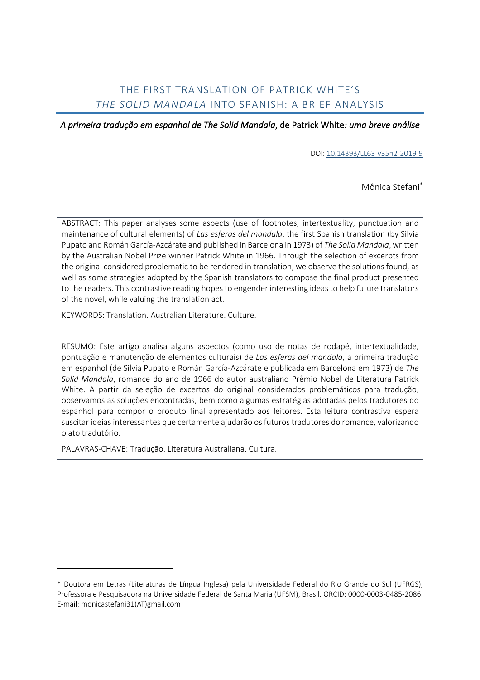## THE FIRST TRANSLATION OF PATRICK WHITE'S *THE SOLID MANDALA* INTO SPANISH: A BRIEF ANALYSIS

*A primeira tradução em espanhol de The Solid Mandala*, de Patrick White*: uma breve análise* 

DOI: 10.14393/LL63-v35n2-2019-9

Mônica Stefani\*

ABSTRACT: This paper analyses some aspects (use of footnotes, intertextuality, punctuation and maintenance of cultural elements) of *Las esferas del mandala*, the first Spanish translation (by Silvia Pupato and Román García-Azcárate and published in Barcelona in 1973) of *The Solid Mandala*, written by the Australian Nobel Prize winner Patrick White in 1966. Through the selection of excerpts from the original considered problematic to be rendered in translation, we observe the solutions found, as well as some strategies adopted by the Spanish translators to compose the final product presented to the readers. This contrastive reading hopes to engender interesting ideas to help future translators of the novel, while valuing the translation act.

KEYWORDS: Translation. Australian Literature. Culture.

RESUMO: Este artigo analisa alguns aspectos (como uso de notas de rodapé, intertextualidade, pontuação e manutenção de elementos culturais) de *Las esferas del mandala*, a primeira tradução em espanhol (de Silvia Pupato e Román García-Azcárate e publicada em Barcelona em 1973) de *The Solid Mandala*, romance do ano de 1966 do autor australiano Prêmio Nobel de Literatura Patrick White. A partir da seleção de excertos do original considerados problemáticos para tradução, observamos as soluções encontradas, bem como algumas estratégias adotadas pelos tradutores do espanhol para compor o produto final apresentado aos leitores. Esta leitura contrastiva espera suscitar ideias interessantes que certamente ajudarão os futuros tradutores do romance, valorizando o ato tradutório.

PALAVRAS-CHAVE: Tradução. Literatura Australiana. Cultura.

<sup>\*</sup> Doutora em Letras (Literaturas de Língua Inglesa) pela Universidade Federal do Rio Grande do Sul (UFRGS), Professora e Pesquisadora na Universidade Federal de Santa Maria (UFSM), Brasil. ORCID: 0000-0003-0485-2086. E-mail: monicastefani31(AT)gmail.com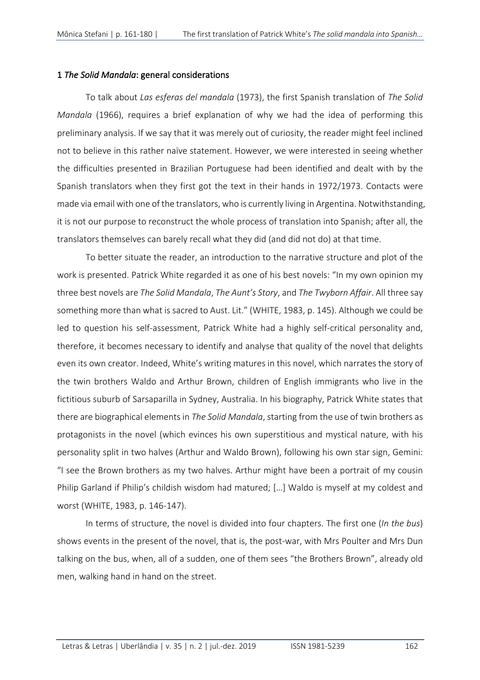### 1 *The Solid Mandala*: general considerations

To talk about *Las esferas del mandala* (1973), the first Spanish translation of *The Solid Mandala* (1966), requires a brief explanation of why we had the idea of performing this preliminary analysis. If we say that it was merely out of curiosity, the reader might feel inclined not to believe in this rather naïve statement. However, we were interested in seeing whether the difficulties presented in Brazilian Portuguese had been identified and dealt with by the Spanish translators when they first got the text in their hands in 1972/1973. Contacts were made via email with one of the translators, who is currently living in Argentina. Notwithstanding, it is not our purpose to reconstruct the whole process of translation into Spanish; after all, the translators themselves can barely recall what they did (and did not do) at that time.

To better situate the reader, an introduction to the narrative structure and plot of the work is presented. Patrick White regarded it as one of his best novels: "In my own opinion my three best novels are *The Solid Mandala*, *The Aunt's Story*, and *The Twyborn Affair*. All three say something more than what is sacred to Aust. Lit." (WHITE, 1983, p. 145). Although we could be led to question his self-assessment, Patrick White had a highly self-critical personality and, therefore, it becomes necessary to identify and analyse that quality of the novel that delights even its own creator. Indeed, White's writing matures in this novel, which narrates the story of the twin brothers Waldo and Arthur Brown, children of English immigrants who live in the fictitious suburb of Sarsaparilla in Sydney, Australia. In his biography, Patrick White states that there are biographical elements in *The Solid Mandala*, starting from the use of twin brothers as protagonists in the novel (which evinces his own superstitious and mystical nature, with his personality split in two halves (Arthur and Waldo Brown), following his own star sign, Gemini: "I see the Brown brothers as my two halves. Arthur might have been a portrait of my cousin Philip Garland if Philip's childish wisdom had matured; […] Waldo is myself at my coldest and worst (WHITE, 1983, p. 146-147).

In terms of structure, the novel is divided into four chapters. The first one (*In the bus*) shows events in the present of the novel, that is, the post-war, with Mrs Poulter and Mrs Dun talking on the bus, when, all of a sudden, one of them sees "the Brothers Brown", already old men, walking hand in hand on the street.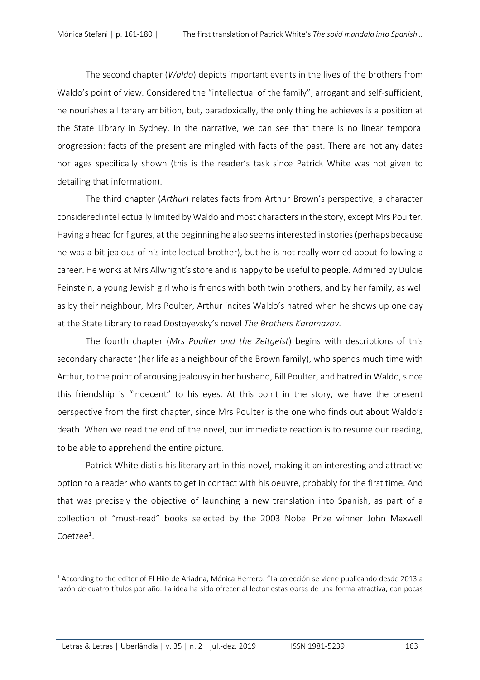The second chapter (*Waldo*) depicts important events in the lives of the brothers from Waldo's point of view. Considered the "intellectual of the family", arrogant and self-sufficient, he nourishes a literary ambition, but, paradoxically, the only thing he achieves is a position at the State Library in Sydney. In the narrative, we can see that there is no linear temporal progression: facts of the present are mingled with facts of the past. There are not any dates nor ages specifically shown (this is the reader's task since Patrick White was not given to detailing that information).

The third chapter (*Arthur*) relates facts from Arthur Brown's perspective, a character considered intellectually limited by Waldo and most characters in the story, except Mrs Poulter. Having a head for figures, at the beginning he also seems interested in stories (perhaps because he was a bit jealous of his intellectual brother), but he is not really worried about following a career. He works at Mrs Allwright's store and is happy to be useful to people. Admired by Dulcie Feinstein, a young Jewish girl who is friends with both twin brothers, and by her family, as well as by their neighbour, Mrs Poulter, Arthur incites Waldo's hatred when he shows up one day at the State Library to read Dostoyevsky's novel *The Brothers Karamazov*.

The fourth chapter (*Mrs Poulter and the Zeitgeist*) begins with descriptions of this secondary character (her life as a neighbour of the Brown family), who spends much time with Arthur, to the point of arousing jealousy in her husband, Bill Poulter, and hatred in Waldo, since this friendship is "indecent" to his eyes. At this point in the story, we have the present perspective from the first chapter, since Mrs Poulter is the one who finds out about Waldo's death. When we read the end of the novel, our immediate reaction is to resume our reading, to be able to apprehend the entire picture.

Patrick White distils his literary art in this novel, making it an interesting and attractive option to a reader who wants to get in contact with his oeuvre, probably for the first time. And that was precisely the objective of launching a new translation into Spanish, as part of a collection of "must-read" books selected by the 2003 Nobel Prize winner John Maxwell Coetzee<sup>1</sup>.

 $1$  According to the editor of El Hilo de Ariadna, Mónica Herrero: "La colección se viene publicando desde 2013 a razón de cuatro títulos por año. La idea ha sido ofrecer al lector estas obras de una forma atractiva, con pocas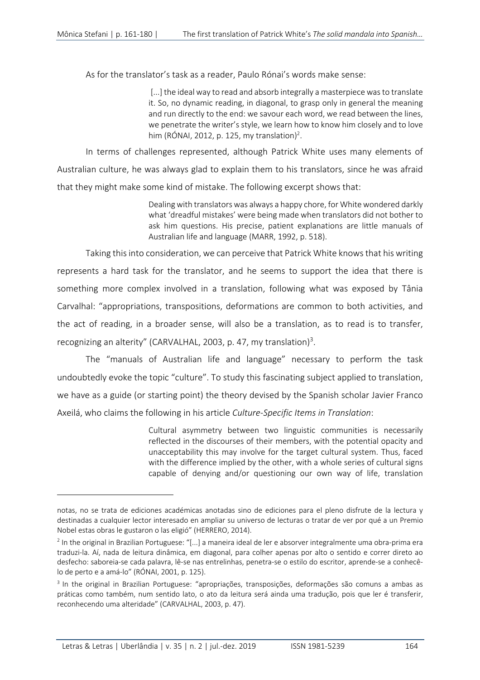As for the translator's task as a reader, Paulo Rónai's words make sense:

[...] the ideal way to read and absorb integrally a masterpiece was to translate it. So, no dynamic reading, in diagonal, to grasp only in general the meaning and run directly to the end: we savour each word, we read between the lines, we penetrate the writer's style, we learn how to know him closely and to love him (RÓNAI, 2012, p. 125, my translation)<sup>2</sup>.

In terms of challenges represented, although Patrick White uses many elements of Australian culture, he was always glad to explain them to his translators, since he was afraid that they might make some kind of mistake. The following excerpt shows that:

> Dealing with translators was always a happy chore, for White wondered darkly what 'dreadful mistakes' were being made when translators did not bother to ask him questions. His precise, patient explanations are little manuals of Australian life and language (MARR, 1992, p. 518).

Taking this into consideration, we can perceive that Patrick White knows that his writing represents a hard task for the translator, and he seems to support the idea that there is something more complex involved in a translation, following what was exposed by Tânia Carvalhal: "appropriations, transpositions, deformations are common to both activities, and the act of reading, in a broader sense, will also be a translation, as to read is to transfer, recognizing an alterity" (CARVALHAL, 2003, p. 47, my translation)<sup>3</sup>.

The "manuals of Australian life and language" necessary to perform the task undoubtedly evoke the topic "culture". To study this fascinating subject applied to translation, we have as a guide (or starting point) the theory devised by the Spanish scholar Javier Franco Axeilá, who claims the following in his article *Culture-Specific Items in Translation*:

> Cultural asymmetry between two linguistic communities is necessarily reflected in the discourses of their members, with the potential opacity and unacceptability this may involve for the target cultural system. Thus, faced with the difference implied by the other, with a whole series of cultural signs capable of denying and/or questioning our own way of life, translation

notas, no se trata de ediciones académicas anotadas sino de ediciones para el pleno disfrute de la lectura y destinadas a cualquier lector interesado en ampliar su universo de lecturas o tratar de ver por qué a un Premio Nobel estas obras le gustaron o las eligió" (HERRERO, 2014).

<sup>2</sup> In the original in Brazilian Portuguese: "[...] a maneira ideal de ler e absorver integralmente uma obra-prima era traduzi-la. Aí, nada de leitura dinâmica, em diagonal, para colher apenas por alto o sentido e correr direto ao desfecho: saboreia-se cada palavra, lê-se nas entrelinhas, penetra-se o estilo do escritor, aprende-se a conhecêlo de perto e a amá-lo" (RÓNAI, 2001, p. 125).

<sup>3</sup> In the original in Brazilian Portuguese: "apropriações, transposições, deformações são comuns a ambas as práticas como também, num sentido lato, o ato da leitura será ainda uma tradução, pois que ler é transferir, reconhecendo uma alteridade" (CARVALHAL, 2003, p. 47).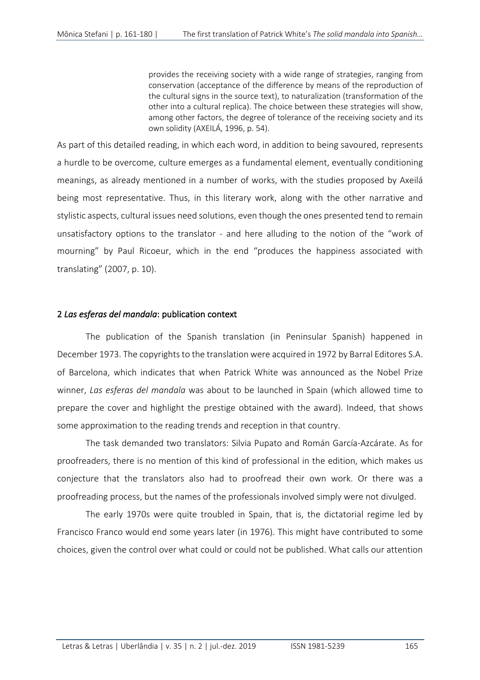provides the receiving society with a wide range of strategies, ranging from conservation (acceptance of the difference by means of the reproduction of the cultural signs in the source text), to naturalization (transformation of the other into a cultural replica). The choice between these strategies will show, among other factors, the degree of tolerance of the receiving society and its own solidity (AXEILÁ, 1996, p. 54).

As part of this detailed reading, in which each word, in addition to being savoured, represents a hurdle to be overcome, culture emerges as a fundamental element, eventually conditioning meanings, as already mentioned in a number of works, with the studies proposed by Axeilá being most representative. Thus, in this literary work, along with the other narrative and stylistic aspects, cultural issues need solutions, even though the ones presented tend to remain unsatisfactory options to the translator - and here alluding to the notion of the "work of mourning" by Paul Ricoeur, which in the end "produces the happiness associated with translating" (2007, p. 10).

### 2 *Las esferas del mandala*: publication context

The publication of the Spanish translation (in Peninsular Spanish) happened in December 1973. The copyrights to the translation were acquired in 1972 by Barral Editores S.A. of Barcelona, which indicates that when Patrick White was announced as the Nobel Prize winner, *Las esferas del mandala* was about to be launched in Spain (which allowed time to prepare the cover and highlight the prestige obtained with the award). Indeed, that shows some approximation to the reading trends and reception in that country.

The task demanded two translators: Silvia Pupato and Román García-Azcárate. As for proofreaders, there is no mention of this kind of professional in the edition, which makes us conjecture that the translators also had to proofread their own work. Or there was a proofreading process, but the names of the professionals involved simply were not divulged.

The early 1970s were quite troubled in Spain, that is, the dictatorial regime led by Francisco Franco would end some years later (in 1976). This might have contributed to some choices, given the control over what could or could not be published. What calls our attention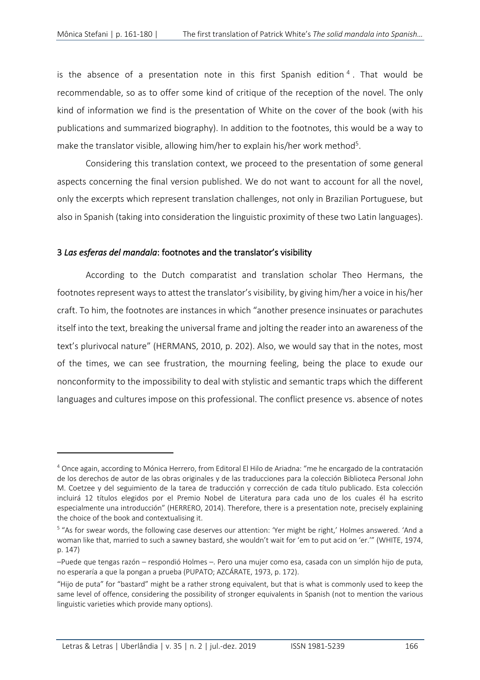is the absence of a presentation note in this first Spanish edition  $4$ . That would be recommendable, so as to offer some kind of critique of the reception of the novel. The only kind of information we find is the presentation of White on the cover of the book (with his publications and summarized biography). In addition to the footnotes, this would be a way to make the translator visible, allowing him/her to explain his/her work method<sup>5</sup>.

Considering this translation context, we proceed to the presentation of some general aspects concerning the final version published. We do not want to account for all the novel, only the excerpts which represent translation challenges, not only in Brazilian Portuguese, but also in Spanish (taking into consideration the linguistic proximity of these two Latin languages).

### 3 *Las esferas del mandala*: footnotes and the translator's visibility

According to the Dutch comparatist and translation scholar Theo Hermans, the footnotes represent ways to attest the translator's visibility, by giving him/her a voice in his/her craft. To him, the footnotes are instances in which "another presence insinuates or parachutes itself into the text, breaking the universal frame and jolting the reader into an awareness of the text's plurivocal nature" (HERMANS, 2010, p. 202). Also, we would say that in the notes, most of the times, we can see frustration, the mourning feeling, being the place to exude our nonconformity to the impossibility to deal with stylistic and semantic traps which the different languages and cultures impose on this professional. The conflict presence vs. absence of notes

<sup>4</sup> Once again, according to Mónica Herrero, from Editoral El Hilo de Ariadna: "me he encargado de la contratación de los derechos de autor de las obras originales y de las traducciones para la colección Biblioteca Personal John M. Coetzee y del seguimiento de la tarea de traducción y corrección de cada título publicado. Esta colección incluirá 12 títulos elegidos por el Premio Nobel de Literatura para cada uno de los cuales él ha escrito especialmente una introducción" (HERRERO, 2014). Therefore, there is a presentation note, precisely explaining the choice of the book and contextualising it.

<sup>&</sup>lt;sup>5</sup> "As for swear words, the following case deserves our attention: 'Yer might be right,' Holmes answered. 'And a woman like that, married to such a sawney bastard, she wouldn't wait for 'em to put acid on 'er.'" (WHITE, 1974, p. 147)

<sup>–</sup>Puede que tengas razón – respondió Holmes –. Pero una mujer como esa, casada con un simplón hijo de puta, no esperaría a que la pongan a prueba (PUPATO; AZCÁRATE, 1973, p. 172).

<sup>&</sup>quot;Hijo de puta" for "bastard" might be a rather strong equivalent, but that is what is commonly used to keep the same level of offence, considering the possibility of stronger equivalents in Spanish (not to mention the various linguistic varieties which provide many options).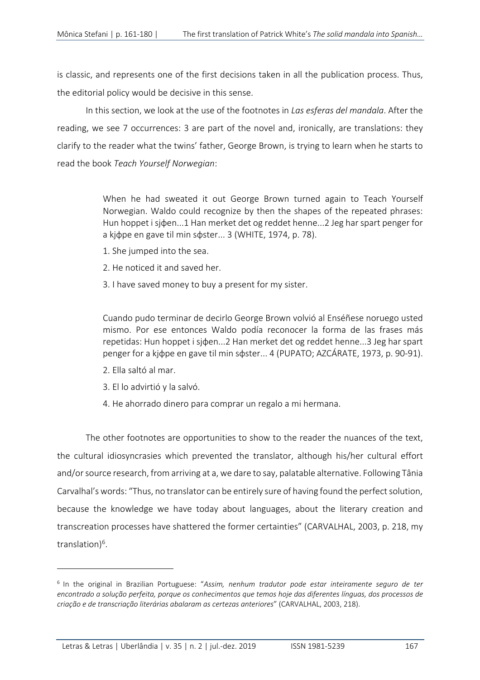is classic, and represents one of the first decisions taken in all the publication process. Thus, the editorial policy would be decisive in this sense.

In this section, we look at the use of the footnotes in *Las esferas del mandala*. After the reading, we see 7 occurrences: 3 are part of the novel and, ironically, are translations: they clarify to the reader what the twins' father, George Brown, is trying to learn when he starts to read the book *Teach Yourself Norwegian*:

> When he had sweated it out George Brown turned again to Teach Yourself Norwegian. Waldo could recognize by then the shapes of the repeated phrases: Hun hoppet i sjφen...1 Han merket det og reddet henne...2 Jeg har spart penger for a kidpe en gave til min sdster... 3 (WHITE, 1974, p. 78).

- 1. She jumped into the sea.
- 2. He noticed it and saved her.
- 3. I have saved money to buy a present for my sister.

Cuando pudo terminar de decirlo George Brown volvió al Enséñese noruego usted mismo. Por ese entonces Waldo podía reconocer la forma de las frases más repetidas: Hun hoppet i sjφen...2 Han merket det og reddet henne...3 Jeg har spart penger for a kjφpe en gave til min sφster... 4 (PUPATO; AZCÁRATE, 1973, p. 90-91).

- 2. Ella saltó al mar.
- 3. El lo advirtió y la salvó.
- 4. He ahorrado dinero para comprar un regalo a mi hermana.

The other footnotes are opportunities to show to the reader the nuances of the text, the cultural idiosyncrasies which prevented the translator, although his/her cultural effort and/or source research, from arriving at a, we dare to say, palatable alternative. Following Tânia Carvalhal's words: "Thus, no translator can be entirely sure of having found the perfect solution, because the knowledge we have today about languages, about the literary creation and transcreation processes have shattered the former certainties" (CARVALHAL, 2003, p. 218, my translation)<sup>6</sup>.

<sup>6</sup> In the original in Brazilian Portuguese: "*Assim, nenhum tradutor pode estar inteiramente seguro de ter encontrado a solução perfeita, porque os conhecimentos que temos hoje das diferentes línguas, dos processos de criação e de transcriação literárias abalaram as certezas anteriores*" (CARVALHAL, 2003, 218).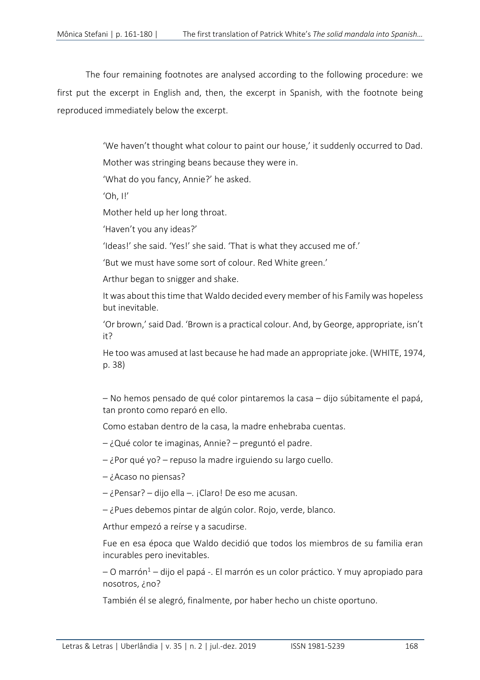The four remaining footnotes are analysed according to the following procedure: we first put the excerpt in English and, then, the excerpt in Spanish, with the footnote being reproduced immediately below the excerpt.

'We haven't thought what colour to paint our house,' it suddenly occurred to Dad.

Mother was stringing beans because they were in.

'What do you fancy, Annie?' he asked.

 $'Oh, II'$ 

Mother held up her long throat.

'Haven't you any ideas?'

'Ideas!' she said. 'Yes!' she said. 'That is what they accused me of.'

'But we must have some sort of colour. Red White green.'

Arthur began to snigger and shake.

It was about this time that Waldo decided every member of his Family was hopeless but inevitable.

'Or brown,' said Dad. 'Brown is a practical colour. And, by George, appropriate, isn't it?

He too was amused at last because he had made an appropriate joke. (WHITE, 1974, p. 38)

– No hemos pensado de qué color pintaremos la casa – dijo súbitamente el papá, tan pronto como reparó en ello.

Como estaban dentro de la casa, la madre enhebraba cuentas.

– ¿Qué color te imaginas, Annie? – preguntó el padre.

– ¿Por qué yo? – repuso la madre irguiendo su largo cuello.

- ¿Acaso no piensas?
- ¿Pensar? dijo ella –. ¡Claro! De eso me acusan.
- ¿Pues debemos pintar de algún color. Rojo, verde, blanco.

Arthur empezó a reírse y a sacudirse.

Fue en esa época que Waldo decidió que todos los miembros de su familia eran incurables pero inevitables.

 $-$  O marrón<sup>1</sup> – dijo el papá -. El marrón es un color práctico. Y muy apropiado para nosotros, ¿no?

También él se alegró, finalmente, por haber hecho un chiste oportuno.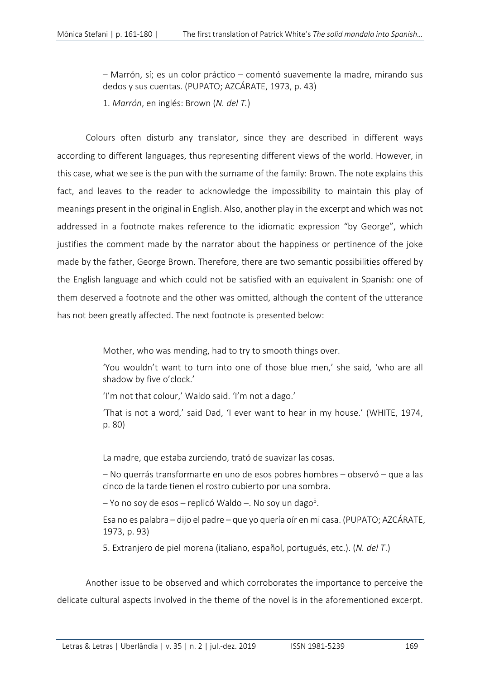– Marrón, sí; es un color práctico – comentó suavemente la madre, mirando sus dedos y sus cuentas. (PUPATO; AZCÁRATE, 1973, p. 43)

1. *Marrón*, en inglés: Brown (*N. del T.*)

Colours often disturb any translator, since they are described in different ways according to different languages, thus representing different views of the world. However, in this case, what we see is the pun with the surname of the family: Brown. The note explains this fact, and leaves to the reader to acknowledge the impossibility to maintain this play of meanings present in the original in English. Also, another play in the excerpt and which was not addressed in a footnote makes reference to the idiomatic expression "by George", which justifies the comment made by the narrator about the happiness or pertinence of the joke made by the father, George Brown. Therefore, there are two semantic possibilities offered by the English language and which could not be satisfied with an equivalent in Spanish: one of them deserved a footnote and the other was omitted, although the content of the utterance has not been greatly affected. The next footnote is presented below:

Mother, who was mending, had to try to smooth things over.

'You wouldn't want to turn into one of those blue men,' she said, 'who are all shadow by five o'clock.'

'I'm not that colour,' Waldo said. 'I'm not a dago.'

'That is not a word,' said Dad, 'I ever want to hear in my house.' (WHITE, 1974, p. 80)

La madre, que estaba zurciendo, trató de suavizar las cosas.

– No querrás transformarte en uno de esos pobres hombres – observó – que a las cinco de la tarde tienen el rostro cubierto por una sombra.

– Yo no soy de esos – replicó Waldo –. No soy un dago<sup>5</sup>.

Esa no es palabra – dijo el padre – que yo quería oír en mi casa. (PUPATO; AZCÁRATE, 1973, p. 93)

5. Extranjero de piel morena (italiano, español, portugués, etc.). (*N. del T*.)

Another issue to be observed and which corroborates the importance to perceive the delicate cultural aspects involved in the theme of the novel is in the aforementioned excerpt.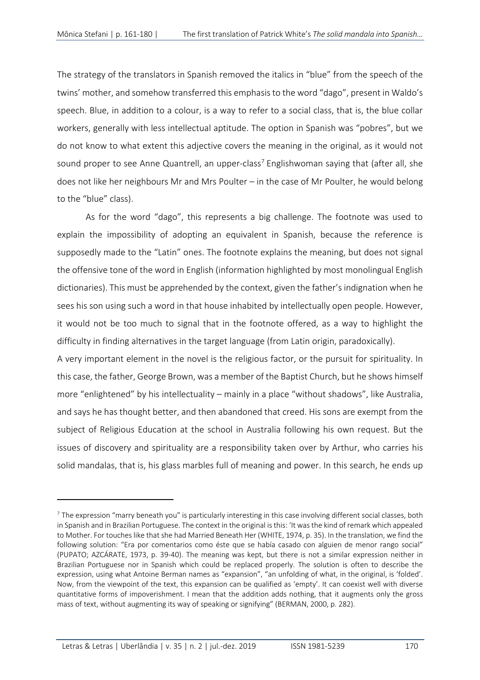The strategy of the translators in Spanish removed the italics in "blue" from the speech of the twins' mother, and somehow transferred this emphasis to the word "dago", present in Waldo's speech. Blue, in addition to a colour, is a way to refer to a social class, that is, the blue collar workers, generally with less intellectual aptitude. The option in Spanish was "pobres", but we do not know to what extent this adjective covers the meaning in the original, as it would not sound proper to see Anne Quantrell, an upper-class<sup>7</sup> Englishwoman saying that (after all, she does not like her neighbours Mr and Mrs Poulter – in the case of Mr Poulter, he would belong to the "blue" class).

As for the word "dago", this represents a big challenge. The footnote was used to explain the impossibility of adopting an equivalent in Spanish, because the reference is supposedly made to the "Latin" ones. The footnote explains the meaning, but does not signal the offensive tone of the word in English (information highlighted by most monolingual English dictionaries). This must be apprehended by the context, given the father's indignation when he sees his son using such a word in that house inhabited by intellectually open people. However, it would not be too much to signal that in the footnote offered, as a way to highlight the difficulty in finding alternatives in the target language (from Latin origin, paradoxically).

A very important element in the novel is the religious factor, or the pursuit for spirituality. In this case, the father, George Brown, was a member of the Baptist Church, but he shows himself more "enlightened" by his intellectuality – mainly in a place "without shadows", like Australia, and says he has thought better, and then abandoned that creed. His sons are exempt from the subject of Religious Education at the school in Australia following his own request. But the issues of discovery and spirituality are a responsibility taken over by Arthur, who carries his solid mandalas, that is, his glass marbles full of meaning and power. In this search, he ends up

 $<sup>7</sup>$  The expression "marry beneath you" is particularly interesting in this case involving different social classes, both</sup> in Spanish and in Brazilian Portuguese. The context in the original is this: 'It was the kind of remark which appealed to Mother. For touches like that she had Married Beneath Her (WHITE, 1974, p. 35). In the translation, we find the following solution: "Era por comentarios como éste que se había casado con alguien de menor rango social" (PUPATO; AZCÁRATE, 1973, p. 39-40). The meaning was kept, but there is not a similar expression neither in Brazilian Portuguese nor in Spanish which could be replaced properly. The solution is often to describe the expression, using what Antoine Berman names as "expansion", "an unfolding of what, in the original, is 'folded'. Now, from the viewpoint of the text, this expansion can be qualified as 'empty'. It can coexist well with diverse quantitative forms of impoverishment. I mean that the addition adds nothing, that it augments only the gross mass of text, without augmenting its way of speaking or signifying" (BERMAN, 2000, p. 282).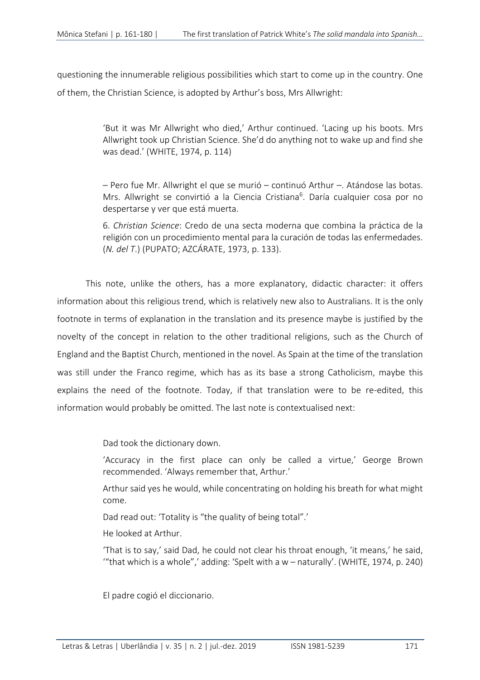questioning the innumerable religious possibilities which start to come up in the country. One of them, the Christian Science, is adopted by Arthur's boss, Mrs Allwright:

> 'But it was Mr Allwright who died,' Arthur continued. 'Lacing up his boots. Mrs Allwright took up Christian Science. She'd do anything not to wake up and find she was dead.' (WHITE, 1974, p. 114)

> – Pero fue Mr. Allwright el que se murió – continuó Arthur –. Atándose las botas. Mrs. Allwright se convirtió a la Ciencia Cristiana<sup>6</sup>. Daría cualquier cosa por no despertarse y ver que está muerta.

> 6. *Christian Science*: Credo de una secta moderna que combina la práctica de la religión con un procedimiento mental para la curación de todas las enfermedades. (*N. del T*.) (PUPATO; AZCÁRATE, 1973, p. 133).

This note, unlike the others, has a more explanatory, didactic character: it offers information about this religious trend, which is relatively new also to Australians. It is the only footnote in terms of explanation in the translation and its presence maybe is justified by the novelty of the concept in relation to the other traditional religions, such as the Church of England and the Baptist Church, mentioned in the novel. As Spain at the time of the translation was still under the Franco regime, which has as its base a strong Catholicism, maybe this explains the need of the footnote. Today, if that translation were to be re-edited, this information would probably be omitted. The last note is contextualised next:

Dad took the dictionary down.

'Accuracy in the first place can only be called a virtue,' George Brown recommended. 'Always remember that, Arthur.'

Arthur said yes he would, while concentrating on holding his breath for what might come.

Dad read out: 'Totality is "the quality of being total".'

He looked at Arthur.

'That is to say,' said Dad, he could not clear his throat enough, 'it means,' he said, "that which is a whole",' adding: 'Spelt with a  $w$  – naturally'. (WHITE, 1974, p. 240)

El padre cogió el diccionario.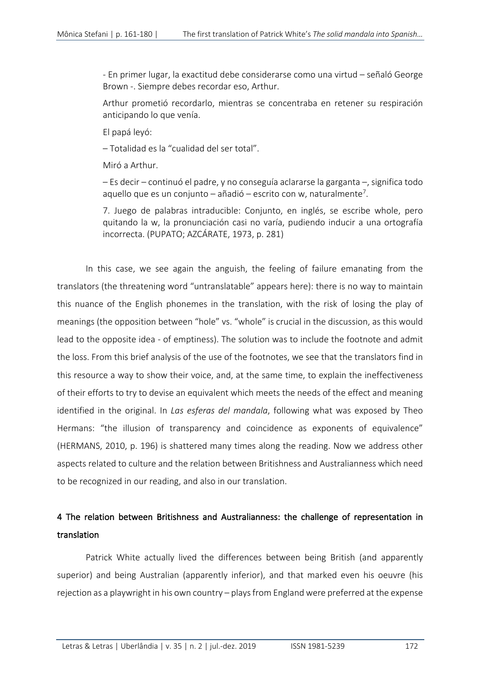- En primer lugar, la exactitud debe considerarse como una virtud – señaló George Brown -. Siempre debes recordar eso, Arthur.

Arthur prometió recordarlo, mientras se concentraba en retener su respiración anticipando lo que venía.

El papá leyó:

– Totalidad es la "cualidad del ser total".

Miró a Arthur.

– Es decir – continuó el padre, y no conseguía aclararse la garganta –, significa todo aquello que es un conjunto – añadió – escrito con w, naturalmente<sup>7</sup>.

7. Juego de palabras intraducible: Conjunto, en inglés, se escribe whole, pero quitando la w, la pronunciación casi no varía, pudiendo inducir a una ortografía incorrecta. (PUPATO; AZCÁRATE, 1973, p. 281)

In this case, we see again the anguish, the feeling of failure emanating from the translators (the threatening word "untranslatable" appears here): there is no way to maintain this nuance of the English phonemes in the translation, with the risk of losing the play of meanings (the opposition between "hole" vs. "whole" is crucial in the discussion, as this would lead to the opposite idea - of emptiness). The solution was to include the footnote and admit the loss. From this brief analysis of the use of the footnotes, we see that the translators find in this resource a way to show their voice, and, at the same time, to explain the ineffectiveness of their efforts to try to devise an equivalent which meets the needs of the effect and meaning identified in the original. In *Las esferas del mandala*, following what was exposed by Theo Hermans: "the illusion of transparency and coincidence as exponents of equivalence" (HERMANS, 2010, p. 196) is shattered many times along the reading. Now we address other aspects related to culture and the relation between Britishness and Australianness which need to be recognized in our reading, and also in our translation.

# 4 The relation between Britishness and Australianness: the challenge of representation in translation

 Patrick White actually lived the differences between being British (and apparently superior) and being Australian (apparently inferior), and that marked even his oeuvre (his rejection as a playwright in his own country – plays from England were preferred at the expense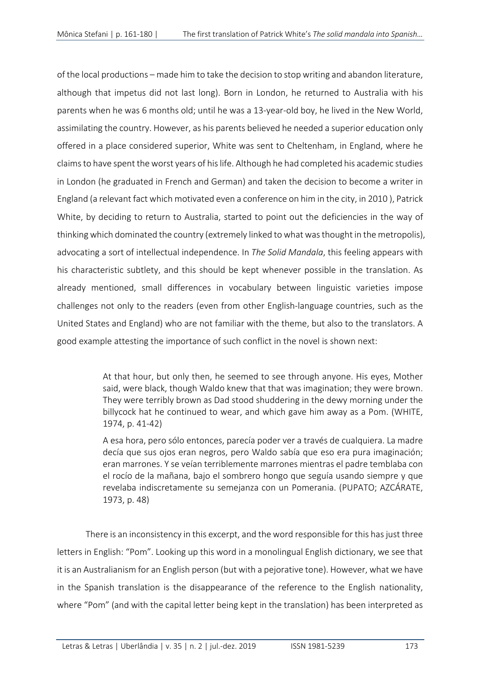of the local productions – made him to take the decision to stop writing and abandon literature, although that impetus did not last long). Born in London, he returned to Australia with his parents when he was 6 months old; until he was a 13-year-old boy, he lived in the New World, assimilating the country. However, as his parents believed he needed a superior education only offered in a place considered superior, White was sent to Cheltenham, in England, where he claims to have spent the worst years of his life. Although he had completed his academic studies in London (he graduated in French and German) and taken the decision to become a writer in England (a relevant fact which motivated even a conference on him in the city, in 2010 ), Patrick White, by deciding to return to Australia, started to point out the deficiencies in the way of thinking which dominated the country (extremely linked to what was thought in the metropolis), advocating a sort of intellectual independence. In *The Solid Mandala*, this feeling appears with his characteristic subtlety, and this should be kept whenever possible in the translation. As already mentioned, small differences in vocabulary between linguistic varieties impose challenges not only to the readers (even from other English-language countries, such as the United States and England) who are not familiar with the theme, but also to the translators. A good example attesting the importance of such conflict in the novel is shown next:

> At that hour, but only then, he seemed to see through anyone. His eyes, Mother said, were black, though Waldo knew that that was imagination; they were brown. They were terribly brown as Dad stood shuddering in the dewy morning under the billycock hat he continued to wear, and which gave him away as a Pom. (WHITE, 1974, p. 41-42)

> A esa hora, pero sólo entonces, parecía poder ver a través de cualquiera. La madre decía que sus ojos eran negros, pero Waldo sabía que eso era pura imaginación; eran marrones. Y se veían terriblemente marrones mientras el padre temblaba con el rocío de la mañana, bajo el sombrero hongo que seguía usando siempre y que revelaba indiscretamente su semejanza con un Pomerania. (PUPATO; AZCÁRATE, 1973, p. 48)

There is an inconsistency in this excerpt, and the word responsible for this has just three letters in English: "Pom". Looking up this word in a monolingual English dictionary, we see that it is an Australianism for an English person (but with a pejorative tone). However, what we have in the Spanish translation is the disappearance of the reference to the English nationality, where "Pom" (and with the capital letter being kept in the translation) has been interpreted as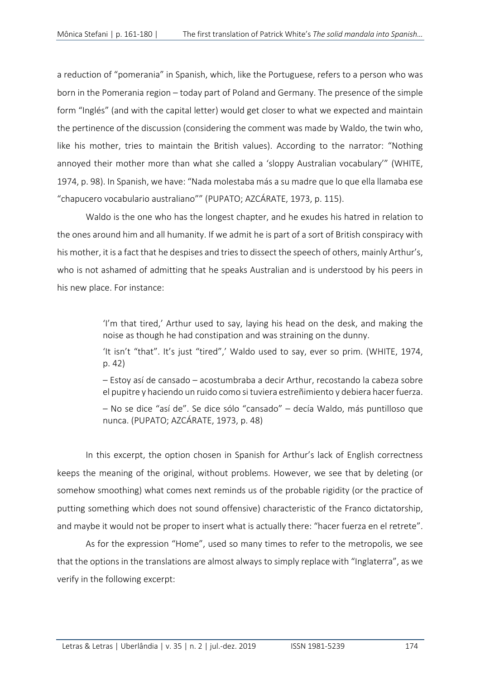a reduction of "pomerania" in Spanish, which, like the Portuguese, refers to a person who was born in the Pomerania region – today part of Poland and Germany. The presence of the simple form "Inglés" (and with the capital letter) would get closer to what we expected and maintain the pertinence of the discussion (considering the comment was made by Waldo, the twin who, like his mother, tries to maintain the British values). According to the narrator: "Nothing annoyed their mother more than what she called a 'sloppy Australian vocabulary'" (WHITE, 1974, p. 98). In Spanish, we have: "Nada molestaba más a su madre que lo que ella llamaba ese "chapucero vocabulario australiano"" (PUPATO; AZCÁRATE, 1973, p. 115).

Waldo is the one who has the longest chapter, and he exudes his hatred in relation to the ones around him and all humanity. If we admit he is part of a sort of British conspiracy with his mother, it is a fact that he despises and tries to dissect the speech of others, mainly Arthur's, who is not ashamed of admitting that he speaks Australian and is understood by his peers in his new place. For instance:

> 'I'm that tired,' Arthur used to say, laying his head on the desk, and making the noise as though he had constipation and was straining on the dunny.

> 'It isn't "that". It's just "tired",' Waldo used to say, ever so prim. (WHITE, 1974, p. 42)

> – Estoy así de cansado – acostumbraba a decir Arthur, recostando la cabeza sobre el pupitre y haciendo un ruido como si tuviera estreñimiento y debiera hacer fuerza.

> – No se dice "así de". Se dice sólo "cansado" – decía Waldo, más puntilloso que nunca. (PUPATO; AZCÁRATE, 1973, p. 48)

In this excerpt, the option chosen in Spanish for Arthur's lack of English correctness keeps the meaning of the original, without problems. However, we see that by deleting (or somehow smoothing) what comes next reminds us of the probable rigidity (or the practice of putting something which does not sound offensive) characteristic of the Franco dictatorship, and maybe it would not be proper to insert what is actually there: "hacer fuerza en el retrete".

As for the expression "Home", used so many times to refer to the metropolis, we see that the options in the translations are almost always to simply replace with "Inglaterra", as we verify in the following excerpt: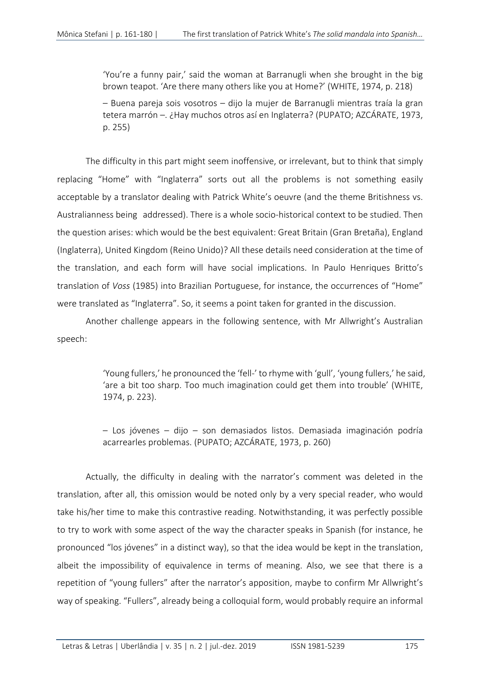'You're a funny pair,' said the woman at Barranugli when she brought in the big brown teapot. 'Are there many others like you at Home?' (WHITE, 1974, p. 218)

– Buena pareja sois vosotros – dijo la mujer de Barranugli mientras traía la gran tetera marrón –. ¿Hay muchos otros así en Inglaterra? (PUPATO; AZCÁRATE, 1973, p. 255)

The difficulty in this part might seem inoffensive, or irrelevant, but to think that simply replacing "Home" with "Inglaterra" sorts out all the problems is not something easily acceptable by a translator dealing with Patrick White's oeuvre (and the theme Britishness vs. Australianness being addressed). There is a whole socio-historical context to be studied. Then the question arises: which would be the best equivalent: Great Britain (Gran Bretaña), England (Inglaterra), United Kingdom (Reino Unido)? All these details need consideration at the time of the translation, and each form will have social implications. In Paulo Henriques Britto's translation of *Voss* (1985) into Brazilian Portuguese, for instance, the occurrences of "Home" were translated as "Inglaterra". So, it seems a point taken for granted in the discussion.

Another challenge appears in the following sentence, with Mr Allwright's Australian speech:

> 'Young fullers,' he pronounced the 'fell-' to rhyme with 'gull', 'young fullers,' he said, 'are a bit too sharp. Too much imagination could get them into trouble' (WHITE, 1974, p. 223).

> – Los jóvenes – dijo – son demasiados listos. Demasiada imaginación podría acarrearles problemas. (PUPATO; AZCÁRATE, 1973, p. 260)

Actually, the difficulty in dealing with the narrator's comment was deleted in the translation, after all, this omission would be noted only by a very special reader, who would take his/her time to make this contrastive reading. Notwithstanding, it was perfectly possible to try to work with some aspect of the way the character speaks in Spanish (for instance, he pronounced "los jóvenes" in a distinct way), so that the idea would be kept in the translation, albeit the impossibility of equivalence in terms of meaning. Also, we see that there is a repetition of "young fullers" after the narrator's apposition, maybe to confirm Mr Allwright's way of speaking. "Fullers", already being a colloquial form, would probably require an informal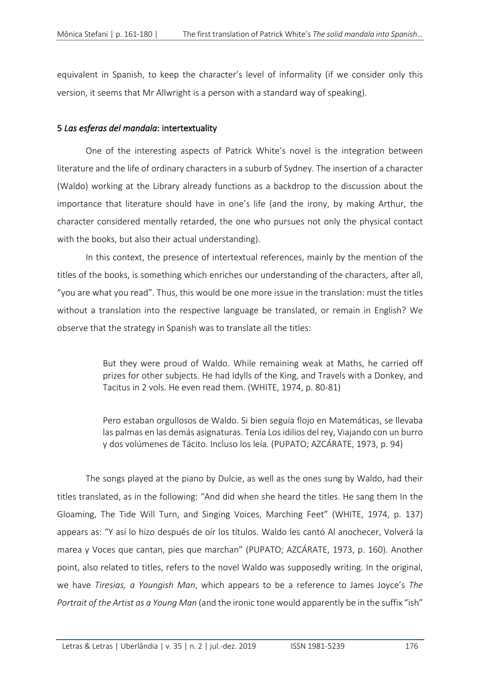equivalent in Spanish, to keep the character's level of informality (if we consider only this version, it seems that Mr Allwright is a person with a standard way of speaking).

### 5 *Las esferas del mandala*: intertextuality

One of the interesting aspects of Patrick White's novel is the integration between literature and the life of ordinary characters in a suburb of Sydney. The insertion of a character (Waldo) working at the Library already functions as a backdrop to the discussion about the importance that literature should have in one's life (and the irony, by making Arthur, the character considered mentally retarded, the one who pursues not only the physical contact with the books, but also their actual understanding).

In this context, the presence of intertextual references, mainly by the mention of the titles of the books, is something which enriches our understanding of the characters, after all, "you are what you read". Thus, this would be one more issue in the translation: must the titles without a translation into the respective language be translated, or remain in English? We observe that the strategy in Spanish was to translate all the titles:

> But they were proud of Waldo. While remaining weak at Maths, he carried off prizes for other subjects. He had Idylls of the King, and Travels with a Donkey, and Tacitus in 2 vols. He even read them. (WHITE, 1974, p. 80-81)

> Pero estaban orgullosos de Waldo. Si bien seguía flojo en Matemáticas, se llevaba las palmas en las demás asignaturas. Tenía Los idilios del rey, Viajando con un burro y dos volúmenes de Tácito. Incluso los leía. (PUPATO; AZCÁRATE, 1973, p. 94)

The songs played at the piano by Dulcie, as well as the ones sung by Waldo, had their titles translated, as in the following: "And did when she heard the titles. He sang them In the Gloaming, The Tide Will Turn, and Singing Voices, Marching Feet" (WHITE, 1974, p. 137) appears as: "Y así lo hizo después de oír los títulos. Waldo les cantó Al anochecer, Volverá la marea y Voces que cantan, pies que marchan" (PUPATO; AZCÁRATE, 1973, p. 160). Another point, also related to titles, refers to the novel Waldo was supposedly writing. In the original, we have *Tiresias, a Youngish Man*, which appears to be a reference to James Joyce's *The Portrait of the Artist as a Young Man* (and the ironic tone would apparently be in the suffix "ish"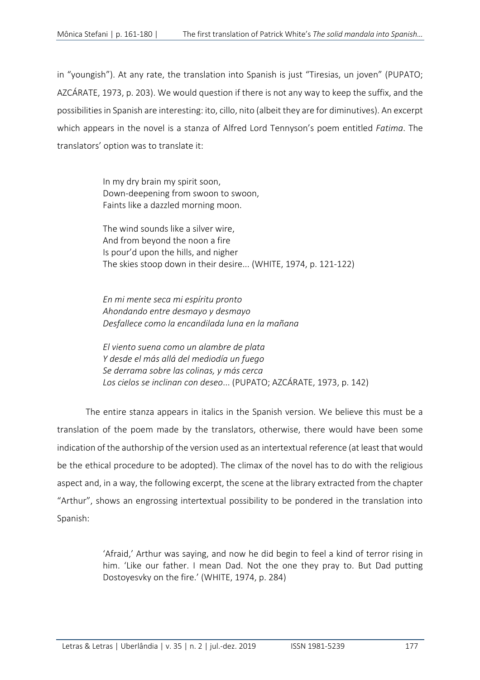in "youngish"). At any rate, the translation into Spanish is just "Tiresias, un joven" (PUPATO; AZCÁRATE, 1973, p. 203). We would question if there is not any way to keep the suffix, and the possibilities in Spanish are interesting: ito, cillo, nito (albeit they are for diminutives). An excerpt which appears in the novel is a stanza of Alfred Lord Tennyson's poem entitled *Fatima*. The translators' option was to translate it:

> In my dry brain my spirit soon, Down-deepening from swoon to swoon, Faints like a dazzled morning moon.

The wind sounds like a silver wire, And from beyond the noon a fire Is pour'd upon the hills, and nigher The skies stoop down in their desire... (WHITE, 1974, p. 121-122)

*En mi mente seca mi espíritu pronto Ahondando entre desmayo y desmayo Desfallece como la encandilada luna en la mañana*

*El viento suena como un alambre de plata Y desde el más allá del mediodía un fuego Se derrama sobre las colinas, y más cerca Los cielos se inclinan con deseo*... (PUPATO; AZCÁRATE, 1973, p. 142)

The entire stanza appears in italics in the Spanish version. We believe this must be a translation of the poem made by the translators, otherwise, there would have been some indication of the authorship of the version used as an intertextual reference (at least that would be the ethical procedure to be adopted). The climax of the novel has to do with the religious aspect and, in a way, the following excerpt, the scene at the library extracted from the chapter "Arthur", shows an engrossing intertextual possibility to be pondered in the translation into Spanish:

> 'Afraid,' Arthur was saying, and now he did begin to feel a kind of terror rising in him. 'Like our father. I mean Dad. Not the one they pray to. But Dad putting Dostoyesvky on the fire.' (WHITE, 1974, p. 284)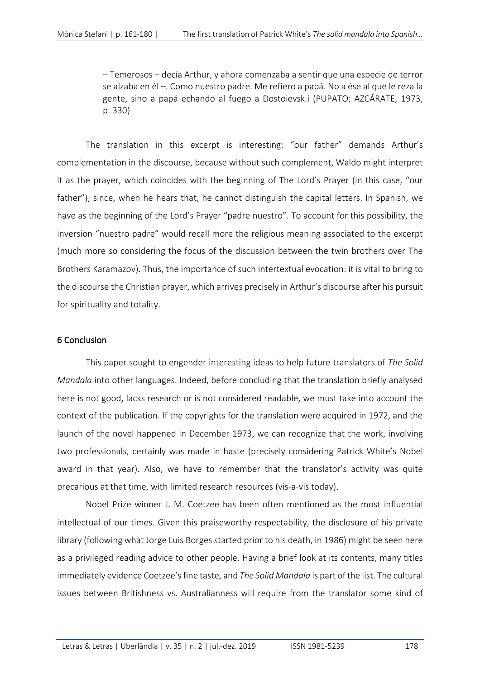– Temerosos – decía Arthur, y ahora comenzaba a sentir que una especie de terror se alzaba en él –. Como nuestro padre. Me refiero a papá. No a ése al que le reza la gente, sino a papá echando al fuego a Dostoievsk.i (PUPATO; AZCÁRATE, 1973, p. 330)

The translation in this excerpt is interesting: "our father" demands Arthur's complementation in the discourse, because without such complement, Waldo might interpret it as the prayer, which coincides with the beginning of The Lord's Prayer (in this case, "our father"), since, when he hears that, he cannot distinguish the capital letters. In Spanish, we have as the beginning of the Lord's Prayer "padre nuestro". To account for this possibility, the inversion "nuestro padre" would recall more the religious meaning associated to the excerpt (much more so considering the focus of the discussion between the twin brothers over The Brothers Karamazov). Thus, the importance of such intertextual evocation: it is vital to bring to the discourse the Christian prayer, which arrives precisely in Arthur's discourse after his pursuit for spirituality and totality.

## 6 Conclusion

This paper sought to engender interesting ideas to help future translators of *The Solid Mandala* into other languages. Indeed, before concluding that the translation briefly analysed here is not good, lacks research or is not considered readable, we must take into account the context of the publication. If the copyrights for the translation were acquired in 1972, and the launch of the novel happened in December 1973, we can recognize that the work, involving two professionals, certainly was made in haste (precisely considering Patrick White's Nobel award in that year). Also, we have to remember that the translator's activity was quite precarious at that time, with limited research resources (vis-a-vis today).

Nobel Prize winner J. M. Coetzee has been often mentioned as the most influential intellectual of our times. Given this praiseworthy respectability, the disclosure of his private library (following what Jorge Luis Borges started prior to his death, in 1986) might be seen here as a privileged reading advice to other people. Having a brief look at its contents, many titles immediately evidence Coetzee's fine taste, and *The Solid Mandala* is part of the list. The cultural issues between Britishness vs. Australianness will require from the translator some kind of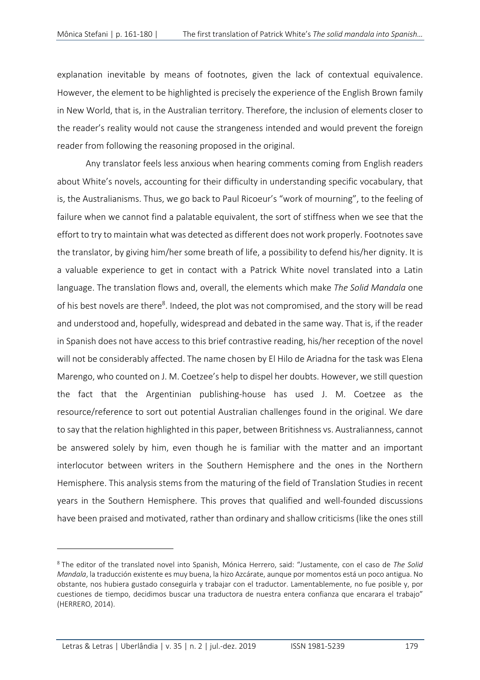explanation inevitable by means of footnotes, given the lack of contextual equivalence. However, the element to be highlighted is precisely the experience of the English Brown family in New World, that is, in the Australian territory. Therefore, the inclusion of elements closer to the reader's reality would not cause the strangeness intended and would prevent the foreign reader from following the reasoning proposed in the original.

Any translator feels less anxious when hearing comments coming from English readers about White's novels, accounting for their difficulty in understanding specific vocabulary, that is, the Australianisms. Thus, we go back to Paul Ricoeur's "work of mourning", to the feeling of failure when we cannot find a palatable equivalent, the sort of stiffness when we see that the effort to try to maintain what was detected as different does not work properly. Footnotes save the translator, by giving him/her some breath of life, a possibility to defend his/her dignity. It is a valuable experience to get in contact with a Patrick White novel translated into a Latin language. The translation flows and, overall, the elements which make *The Solid Mandala* one of his best novels are there<sup>8</sup>. Indeed, the plot was not compromised, and the story will be read and understood and, hopefully, widespread and debated in the same way. That is, if the reader in Spanish does not have access to this brief contrastive reading, his/her reception of the novel will not be considerably affected. The name chosen by El Hilo de Ariadna for the task was Elena Marengo, who counted on J. M. Coetzee's help to dispel her doubts. However, we still question the fact that the Argentinian publishing-house has used J. M. Coetzee as the resource/reference to sort out potential Australian challenges found in the original. We dare to say that the relation highlighted in this paper, between Britishness vs. Australianness, cannot be answered solely by him, even though he is familiar with the matter and an important interlocutor between writers in the Southern Hemisphere and the ones in the Northern Hemisphere. This analysis stems from the maturing of the field of Translation Studies in recent years in the Southern Hemisphere. This proves that qualified and well-founded discussions have been praised and motivated, rather than ordinary and shallow criticisms (like the ones still

<sup>8</sup> The editor of the translated novel into Spanish, Mónica Herrero, said: "Justamente, con el caso de *The Solid Mandala*, la traducción existente es muy buena, la hizo Azcárate, aunque por momentos está un poco antigua. No obstante, nos hubiera gustado conseguirla y trabajar con el traductor. Lamentablemente, no fue posible y, por cuestiones de tiempo, decidimos buscar una traductora de nuestra entera confianza que encarara el trabajo" (HERRERO, 2014).